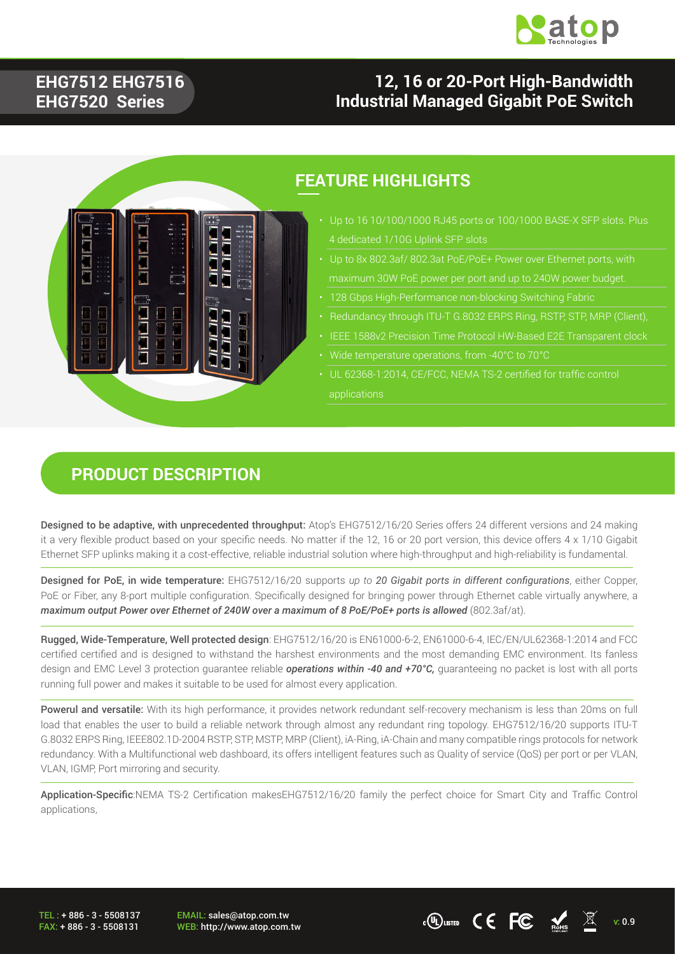

#### **EHG7512 EHG7516 EHG7520 Series**

### **12, 16 or 20-Port High-Bandwidth Industrial Managed Gigabit PoE Switch**



### **FEATURE HIGHLIGHTS**

- Up to 16 10/100/1000 RJ45 ports or 100/1000 BASE-X SFP slots. Plus
- Up to 8x 802.3af/ 802.3at PoE/PoE+ Power over Ethernet ports, with
- 
- 
- 
- Wide temperature operations, from -40°C to 70°C
- UL 62368-1:2014, CE/FCC, NEMA TS-2 certified for traffic control applications

#### **PRODUCT DESCRIPTION**

Designed to be adaptive, with unprecedented throughput: Atop's EHG7512/16/20 Series offers 24 different versions and 24 making it a very flexible product based on your specific needs. No matter if the 12, 16 or 20 port version, this device offers 4 x 1/10 Gigabit Ethernet SFP uplinks making it a cost-effective, reliable industrial solution where high-throughput and high-reliability is fundamental.

Designed for PoE, in wide temperature: EHG7512/16/20 supports *up to 20 Gigabit ports in different configurations*, either Copper, PoE or Fiber, any 8-port multiple configuration. Specifically designed for bringing power through Ethernet cable virtually anywhere, a *maximum output Power over Ethernet of 240W over a maximum of 8 PoE/PoE+ ports is allowed* (802.3af/at).

Rugged, Wide-Temperature, Well protected design: EHG7512/16/20 is EN61000-6-2, EN61000-6-4, IEC/EN/UL62368-1:2014 and FCC certified certified and is designed to withstand the harshest environments and the most demanding EMC environment. Its fanless design and EMC Level 3 protection guarantee reliable *operations within -40 and +70°C,* guaranteeing no packet is lost with all ports running full power and makes it suitable to be used for almost every application.

Powerul and versatile: With its high performance, it provides network redundant self-recovery mechanism is less than 20ms on full load that enables the user to build a reliable network through almost any redundant ring topology. EHG7512/16/20 supports ITU-T G.8032 ERPS Ring, IEEE802.1D-2004 RSTP, STP, MSTP, MRP (Client), iA-Ring, iA-Chain and many compatible rings protocols for network redundancy. With a Multifunctional web dashboard, its offers intelligent features such as Quality of service (QoS) per port or per VLAN, VLAN, IGMP, Port mirroring and security.

Application-Specific:NEMA TS-2 Certification makesEHG7512/16/20 family the perfect choice for Smart City and Traffic Control applications,

TEL : + 886 - 3 - 5508137 FAX: + 886 - 3 - 5508131 EMAIL: sales@atop.com.tw

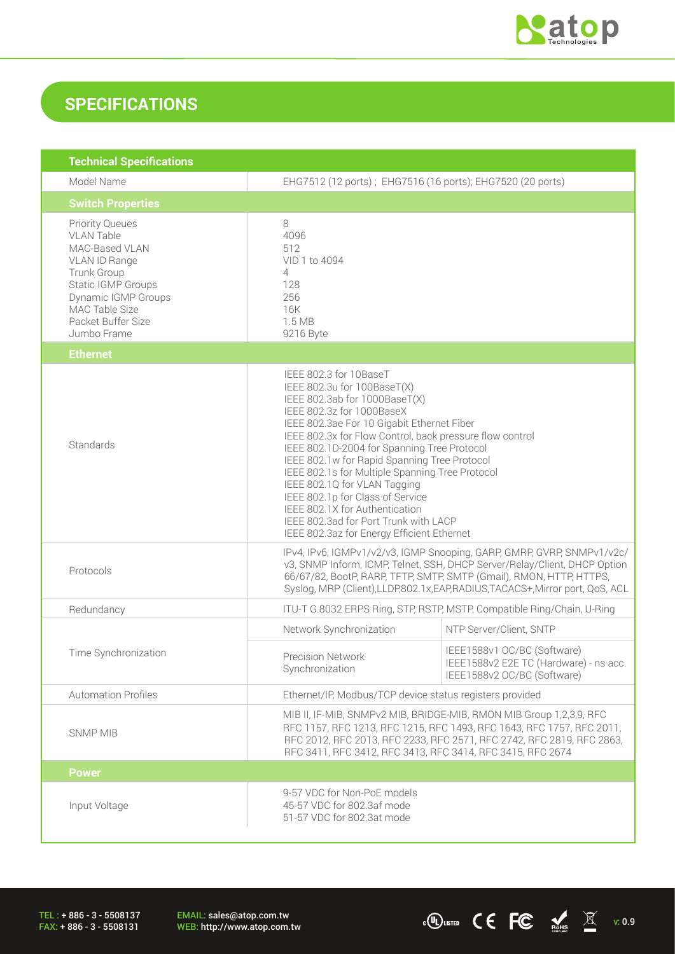

 $\overline{C}$   $\overline{C}$   $\overline{C}$   $\overline{M}$  v: 0.9

# **SPECIFICATIONS**

| <b>Technical Specifications</b>                                                                                                                                                                   |                                                                                                                                                                                                                                                                                                                                                                                                                                                                                                                                                                              |                                                                                                      |
|---------------------------------------------------------------------------------------------------------------------------------------------------------------------------------------------------|------------------------------------------------------------------------------------------------------------------------------------------------------------------------------------------------------------------------------------------------------------------------------------------------------------------------------------------------------------------------------------------------------------------------------------------------------------------------------------------------------------------------------------------------------------------------------|------------------------------------------------------------------------------------------------------|
| Model Name                                                                                                                                                                                        | EHG7512 (12 ports); EHG7516 (16 ports); EHG7520 (20 ports)                                                                                                                                                                                                                                                                                                                                                                                                                                                                                                                   |                                                                                                      |
| <b>Switch Properties</b>                                                                                                                                                                          |                                                                                                                                                                                                                                                                                                                                                                                                                                                                                                                                                                              |                                                                                                      |
| <b>Priority Queues</b><br><b>VLAN Table</b><br>MAC-Based VLAN<br>VLAN ID Range<br>Trunk Group<br>Static IGMP Groups<br>Dynamic IGMP Groups<br>MAC Table Size<br>Packet Buffer Size<br>Jumbo Frame | 8<br>4096<br>512<br>VID 1 to 4094<br>4<br>128<br>256<br>16K<br>1.5 MB<br>9216 Byte                                                                                                                                                                                                                                                                                                                                                                                                                                                                                           |                                                                                                      |
| <b>Ethernet</b>                                                                                                                                                                                   |                                                                                                                                                                                                                                                                                                                                                                                                                                                                                                                                                                              |                                                                                                      |
| Standards                                                                                                                                                                                         | IEEE 802.3 for 10BaseT<br>IEEE 802.3u for 100BaseT(X)<br>IEEE 802.3ab for 1000BaseT(X)<br>IEEE 802.3z for 1000BaseX<br>IEEE 802.3ae For 10 Gigabit Ethernet Fiber<br>IEEE 802.3x for Flow Control, back pressure flow control<br>IEEE 802.1D-2004 for Spanning Tree Protocol<br>IEEE 802.1w for Rapid Spanning Tree Protocol<br>IEEE 802.1s for Multiple Spanning Tree Protocol<br>IEEE 802.1Q for VLAN Tagging<br>IEEE 802.1p for Class of Service<br>IEEE 802.1X for Authentication<br>IEEE 802.3ad for Port Trunk with LACP<br>IEEE 802.3az for Energy Efficient Ethernet |                                                                                                      |
| Protocols                                                                                                                                                                                         | IPv4, IPv6, IGMPv1/v2/v3, IGMP Snooping, GARP, GMRP, GVRP, SNMPv1/v2c/<br>v3, SNMP Inform, ICMP, Telnet, SSH, DHCP Server/Relay/Client, DHCP Option<br>66/67/82, BootP, RARP, TFTP, SMTP, SMTP (Gmail), RMON, HTTP, HTTPS,<br>Syslog, MRP (Client), LLDP, 802.1x, EAP, RADIUS, TACACS+, Mirror port, QoS, ACL                                                                                                                                                                                                                                                                |                                                                                                      |
| Redundancy                                                                                                                                                                                        | ITU-T G.8032 ERPS Ring, STP, RSTP, MSTP, Compatible Ring/Chain, U-Ring                                                                                                                                                                                                                                                                                                                                                                                                                                                                                                       |                                                                                                      |
|                                                                                                                                                                                                   | Network Synchronization                                                                                                                                                                                                                                                                                                                                                                                                                                                                                                                                                      | NTP Server/Client, SNTP                                                                              |
| Time Synchronization                                                                                                                                                                              | <b>Precision Network</b><br>Synchronization                                                                                                                                                                                                                                                                                                                                                                                                                                                                                                                                  | IEEE1588v1 OC/BC (Software)<br>IEEE1588v2 E2E TC (Hardware) - ns acc.<br>IEEE1588v2 OC/BC (Software) |
| <b>Automation Profiles</b>                                                                                                                                                                        | Ethernet/IP, Modbus/TCP device status registers provided                                                                                                                                                                                                                                                                                                                                                                                                                                                                                                                     |                                                                                                      |
| <b>SNMP MIB</b>                                                                                                                                                                                   | MIB II, IF-MIB, SNMPv2 MIB, BRIDGE-MIB, RMON MIB Group 1,2,3,9, RFC<br>RFC 1157, RFC 1213, RFC 1215, RFC 1493, RFC 1643, RFC 1757, RFC 2011,<br>RFC 2012, RFC 2013, RFC 2233, RFC 2571, RFC 2742, RFC 2819, RFC 2863,<br>RFC 3411, RFC 3412, RFC 3413, RFC 3414, RFC 3415, RFC 2674                                                                                                                                                                                                                                                                                          |                                                                                                      |
| <b>Power</b>                                                                                                                                                                                      |                                                                                                                                                                                                                                                                                                                                                                                                                                                                                                                                                                              |                                                                                                      |
| Input Voltage                                                                                                                                                                                     | 9-57 VDC for Non-PoE models<br>45-57 VDC for 802.3af mode<br>51-57 VDC for 802.3at mode                                                                                                                                                                                                                                                                                                                                                                                                                                                                                      |                                                                                                      |

TEL : + 886 - 3 - 5508137 FAX: + 886 - 3 - 5508131

EMAIL: sales@atop.com.tw<br>WEB: http://www.atop.com.tw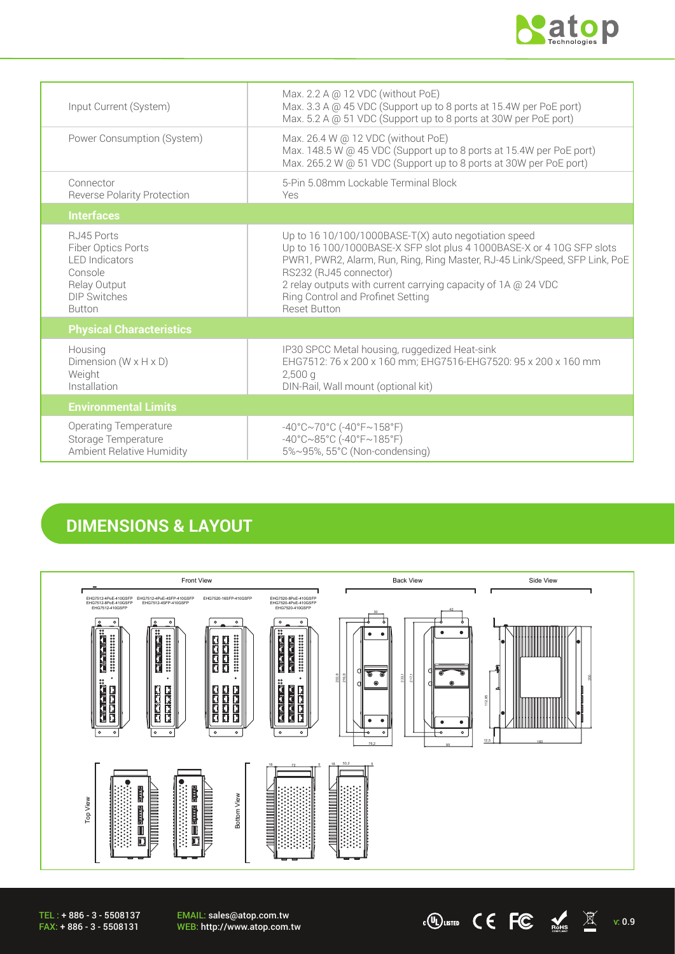

 $\cdot$  (U) LISTED CEFC  $\underset{\text{Rons}}{\bullet}$   $\overline{\mathbb{X}}$  v: 0.9

| Input Current (System)                                                                                                        | Max. 2.2 A @ 12 VDC (without PoE)<br>Max. 3.3 A @ 45 VDC (Support up to 8 ports at 15.4W per PoE port)<br>Max. 5.2 A @ 51 VDC (Support up to 8 ports at 30W per PoE port)                                                                                                                                                                                             |
|-------------------------------------------------------------------------------------------------------------------------------|-----------------------------------------------------------------------------------------------------------------------------------------------------------------------------------------------------------------------------------------------------------------------------------------------------------------------------------------------------------------------|
| Power Consumption (System)                                                                                                    | Max. 26.4 W @ 12 VDC (without PoE)<br>Max. 148.5 W @ 45 VDC (Support up to 8 ports at 15.4W per PoE port)<br>Max. 265.2 W @ 51 VDC (Support up to 8 ports at 30W per PoE port)                                                                                                                                                                                        |
| Connector<br><b>Reverse Polarity Protection</b>                                                                               | 5-Pin 5.08mm Lockable Terminal Block<br>Yes                                                                                                                                                                                                                                                                                                                           |
| <b>Interfaces</b>                                                                                                             |                                                                                                                                                                                                                                                                                                                                                                       |
| RJ45 Ports<br>Fiber Optics Ports<br><b>I FD Indicators</b><br>Console<br>Relay Output<br><b>DIP Switches</b><br><b>Button</b> | Up to $16 10/100/1000$ BASE-T(X) auto negotiation speed<br>Up to 16 100/1000BASE-X SFP slot plus 4 1000BASE-X or 4 10G SFP slots<br>PWR1, PWR2, Alarm, Run, Ring, Ring Master, RJ-45 Link/Speed, SFP Link, PoE<br>RS232 (RJ45 connector)<br>2 relay outputs with current carrying capacity of 1A @ 24 VDC<br>Ring Control and Profinet Setting<br><b>Reset Button</b> |
| <b>Physical Characteristics</b>                                                                                               |                                                                                                                                                                                                                                                                                                                                                                       |
| Housing<br>Dimension ( $W \times H \times D$ )<br>Weight<br>Installation                                                      | IP30 SPCC Metal housing, ruggedized Heat-sink<br>EHG7512: 76 x 200 x 160 mm; EHG7516-EHG7520: 95 x 200 x 160 mm<br>$2,500$ a<br>DIN-Rail, Wall mount (optional kit)                                                                                                                                                                                                   |
| <b>Environmental Limits</b>                                                                                                   |                                                                                                                                                                                                                                                                                                                                                                       |
| <b>Operating Temperature</b><br>Storage Temperature<br>Ambient Relative Humidity                                              | $-40^{\circ}$ C $\sim$ 70°C (-40°F $\sim$ 158°F)<br>$-40^{\circ}$ C $\sim$ 85°C (-40°F $\sim$ 185°F)<br>5%~95%, 55°C (Non-condensing)                                                                                                                                                                                                                                 |

### **DIMENSIONS & LAYOUT**



EMAIL: sales@atop.com.tw<br>WEB: http://www.atop.com.tw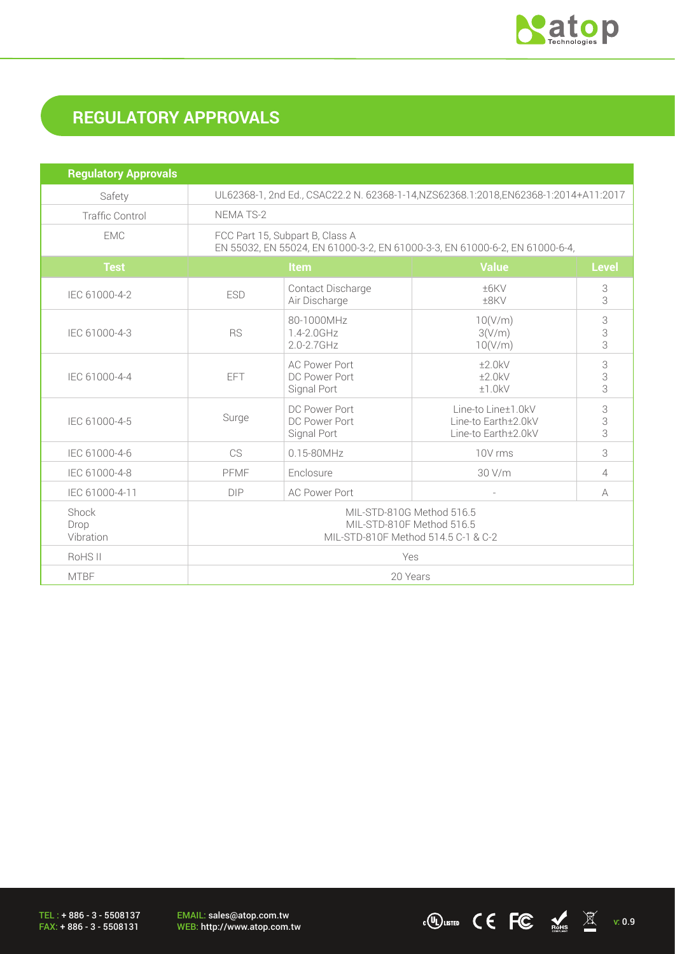

# **REGULATORY APPROVALS**

| <b>Regulatory Approvals</b> |                                                                                                                |                                                      |                                                                  |                |
|-----------------------------|----------------------------------------------------------------------------------------------------------------|------------------------------------------------------|------------------------------------------------------------------|----------------|
| Safety                      | UL62368-1, 2nd Ed., CSAC22.2 N. 62368-1-14, NZS62368.1:2018, EN62368-1:2014+A11:2017                           |                                                      |                                                                  |                |
| <b>Traffic Control</b>      | <b>NEMA TS-2</b>                                                                                               |                                                      |                                                                  |                |
| <b>EMC</b>                  | FCC Part 15, Subpart B, Class A<br>EN 55032, EN 55024, EN 61000-3-2, EN 61000-3-3, EN 61000-6-2, EN 61000-6-4, |                                                      |                                                                  |                |
| <b>Test</b>                 | Item                                                                                                           |                                                      | <b>Value</b>                                                     | <b>Level</b>   |
| IEC 61000-4-2               | <b>ESD</b>                                                                                                     | Contact Discharge<br>Air Discharge                   | ±6KV<br>±8KV                                                     | 3<br>3         |
| IEC 61000-4-3               | <b>RS</b>                                                                                                      | 80-1000MHz<br>1.4-2.0GHz<br>$2.0 - 2.7$ GHz          | 10(V/m)<br>3(V/m)<br>10(V/m)                                     | 3<br>3<br>3    |
| IEC 61000-4-4               | <b>EFT</b>                                                                                                     | <b>AC Power Port</b><br>DC Power Port<br>Signal Port | ±2.0kV<br>±2.0kV<br>±1.0kV                                       | 3<br>3<br>3    |
| IEC 61000-4-5               | Surge                                                                                                          | DC Power Port<br>DC Power Port<br>Signal Port        | Line-to Line±1.0kV<br>Line-to Earth±2.0kV<br>Line-to Earth±2.0kV | 3<br>3<br>3    |
| IEC 61000-4-6               | CS                                                                                                             | $0.15 - 80$ MHz                                      | 10V rms                                                          | 3              |
| IEC 61000-4-8               | PFMF                                                                                                           | Enclosure                                            | 30 V/m                                                           | $\overline{4}$ |
| IEC 61000-4-11              | <b>DIP</b>                                                                                                     | <b>AC Power Port</b>                                 | $\overline{\phantom{a}}$                                         | A              |
| Shock<br>Drop<br>Vibration  | MIL-STD-810G Method 516.5<br>MIL-STD-810F Method 516.5<br>MIL-STD-810F Method 514.5 C-1 & C-2                  |                                                      |                                                                  |                |
| RoHS <sub>II</sub>          | Yes                                                                                                            |                                                      |                                                                  |                |
| <b>MTBF</b>                 | 20 Years                                                                                                       |                                                      |                                                                  |                |

TEL : + 886 - 3 - 5508137 FAX: + 886 - 3 - 5508131

EMAIL: sales@atop.com.tw<br>WEB: http://www.atop.com.tw

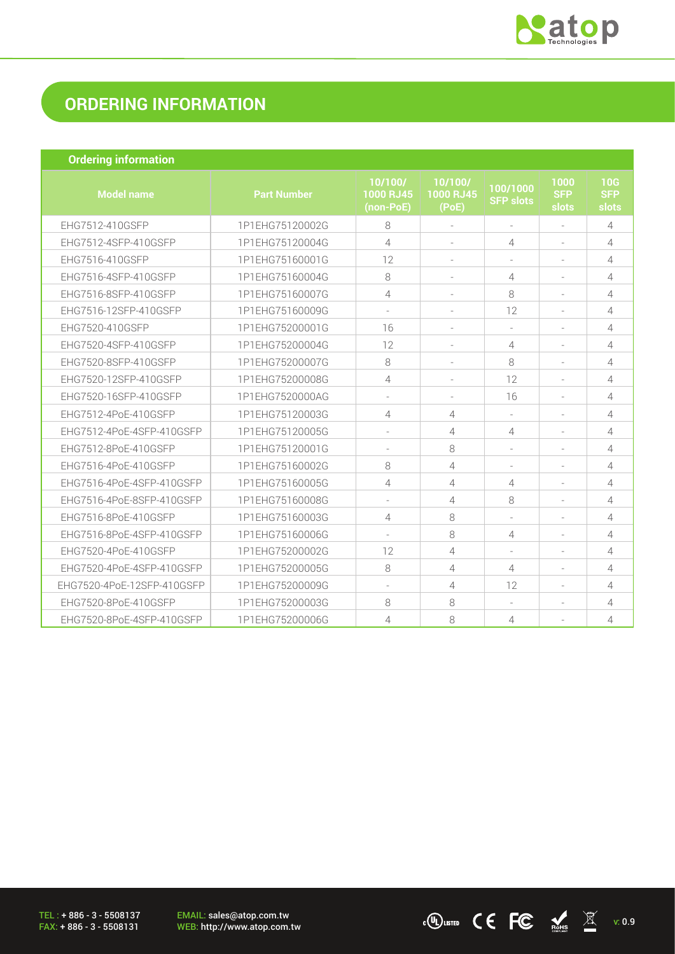

 $\frac{1}{2}$  (U) LISTED C C FC  $\frac{1}{2}$  Ms  $\frac{1}{2}$  v: 0.9

## **ORDERING INFORMATION**

| <b>Ordering information</b> |
|-----------------------------|
|                             |

| <b>Model name</b>          | <b>Part Number</b> | 10/100/<br>1000 RJ45<br>(non-PoE) | 10/100/<br>1000 RJ45<br>(PoE) | 100/1000<br><b>SFP slots</b> | 1000<br><b>SFP</b><br>slots | 10G<br><b>SFP</b><br>slots |
|----------------------------|--------------------|-----------------------------------|-------------------------------|------------------------------|-----------------------------|----------------------------|
| EHG7512-410GSFP            | 1P1EHG75120002G    | 8                                 |                               |                              |                             | 4                          |
| EHG7512-4SFP-410GSFP       | 1P1EHG75120004G    | 4                                 |                               | 4                            |                             | 4                          |
| EHG7516-410GSFP            | 1P1EHG75160001G    | 12                                |                               |                              |                             | 4                          |
| EHG7516-4SFP-410GSFP       | 1P1EHG75160004G    | 8                                 |                               | 4                            |                             | 4                          |
| EHG7516-8SFP-410GSFP       | 1P1EHG75160007G    | 4                                 |                               | 8                            |                             | 4                          |
| EHG7516-12SFP-410GSFP      | 1P1EHG75160009G    |                                   |                               | 12                           |                             | 4                          |
| EHG7520-410GSFP            | 1P1EHG75200001G    | 16                                |                               |                              |                             | 4                          |
| EHG7520-4SFP-410GSFP       | 1P1EHG75200004G    | 12                                |                               | 4                            |                             | $\overline{4}$             |
| EHG7520-8SFP-410GSFP       | 1P1EHG75200007G    | 8                                 |                               | 8                            |                             | 4                          |
| EHG7520-12SFP-410GSFP      | 1P1EHG75200008G    | 4                                 |                               | 12                           |                             | 4                          |
| EHG7520-16SFP-410GSFP      | 1P1EHG7520000AG    |                                   |                               | 16                           |                             | 4                          |
| EHG7512-4PoE-410GSFP       | 1P1EHG75120003G    | 4                                 | 4                             |                              |                             | 4                          |
| EHG7512-4PoE-4SFP-410GSFP  | 1P1EHG75120005G    |                                   | 4                             | 4                            |                             | 4                          |
| EHG7512-8PoE-410GSFP       | 1P1EHG75120001G    |                                   | 8                             |                              |                             | 4                          |
| EHG7516-4PoE-410GSFP       | 1P1EHG75160002G    | 8                                 | 4                             | $\overline{\phantom{a}}$     |                             | 4                          |
| EHG7516-4PoE-4SFP-410GSFP  | 1P1EHG75160005G    | 4                                 | 4                             | 4                            |                             | 4                          |
| EHG7516-4PoE-8SFP-410GSFP  | 1P1EHG75160008G    |                                   | 4                             | 8                            |                             | 4                          |
| EHG7516-8PoE-410GSFP       | 1P1EHG75160003G    | 4                                 | 8                             |                              |                             | 4                          |
| EHG7516-8PoE-4SFP-410GSFP  | 1P1EHG75160006G    |                                   | 8                             | 4                            |                             | 4                          |
| EHG7520-4PoE-410GSFP       | 1P1EHG75200002G    | 12                                | 4                             | $\overline{\phantom{a}}$     |                             | 4                          |
| EHG7520-4PoE-4SFP-410GSFP  | 1P1EHG75200005G    | 8                                 | $\overline{4}$                | 4                            |                             | 4                          |
| EHG7520-4PoE-12SFP-410GSFP | 1P1EHG75200009G    |                                   | 4                             | 12                           |                             | 4                          |
| EHG7520-8PoE-410GSFP       | 1P1EHG75200003G    | 8                                 | 8                             |                              |                             | 4                          |
| EHG7520-8PoE-4SFP-410GSFP  | 1P1EHG75200006G    | 4                                 | 8                             | 4                            |                             | 4                          |